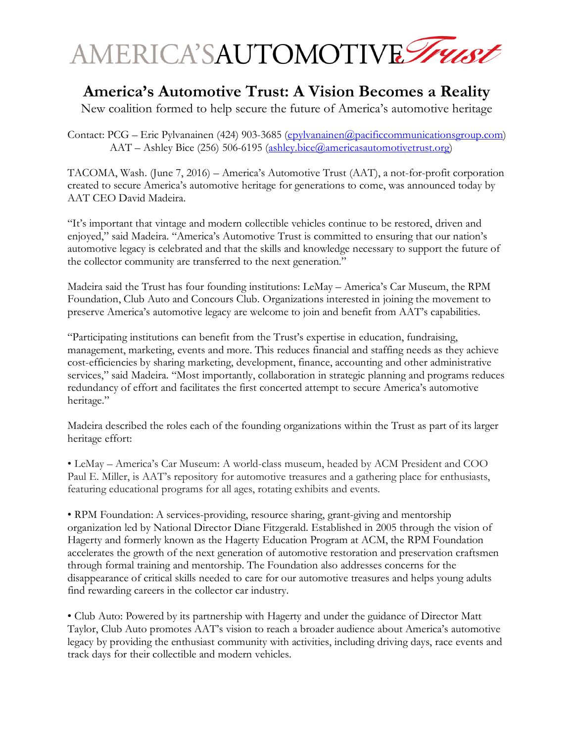

## **America's Automotive Trust: A Vision Becomes a Reality**

New coalition formed to help secure the future of America's automotive heritage

Contact: PCG – Eric Pylvanainen (424) 903-3685 [\(epylvanainen@pacificcommunicationsgroup.com\)](mailto:epylvanainen@pacificcommunicationsgroup.com) AAT – Ashley Bice (256) 506-6195 [\(ashley.bice@americasautomotivetrust.org\)](mailto:ashley.bice@americasautomotivetrust.org)

TACOMA, Wash. (June 7, 2016) – America's Automotive Trust (AAT), a not-for-profit corporation created to secure America's automotive heritage for generations to come, was announced today by AAT CEO David Madeira.

"It's important that vintage and modern collectible vehicles continue to be restored, driven and enjoyed," said Madeira. "America's Automotive Trust is committed to ensuring that our nation's automotive legacy is celebrated and that the skills and knowledge necessary to support the future of the collector community are transferred to the next generation."

Madeira said the Trust has four founding institutions: LeMay – America's Car Museum, the RPM Foundation, Club Auto and Concours Club. Organizations interested in joining the movement to preserve America's automotive legacy are welcome to join and benefit from AAT's capabilities.

"Participating institutions can benefit from the Trust's expertise in education, fundraising, management, marketing, events and more. This reduces financial and staffing needs as they achieve cost-efficiencies by sharing marketing, development, finance, accounting and other administrative services," said Madeira. "Most importantly, collaboration in strategic planning and programs reduces redundancy of effort and facilitates the first concerted attempt to secure America's automotive heritage."

Madeira described the roles each of the founding organizations within the Trust as part of its larger heritage effort:

• LeMay – America's Car Museum: A world-class museum, headed by ACM President and COO Paul E. Miller, is AAT's repository for automotive treasures and a gathering place for enthusiasts, featuring educational programs for all ages, rotating exhibits and events.

• RPM Foundation: A services-providing, resource sharing, grant-giving and mentorship organization led by National Director Diane Fitzgerald. Established in 2005 through the vision of Hagerty and formerly known as the Hagerty Education Program at ACM, the RPM Foundation accelerates the growth of the next generation of automotive restoration and preservation craftsmen through formal training and mentorship. The Foundation also addresses concerns for the disappearance of critical skills needed to care for our automotive treasures and helps young adults find rewarding careers in the collector car industry.

• Club Auto: Powered by its partnership with Hagerty and under the guidance of Director Matt Taylor, Club Auto promotes AAT's vision to reach a broader audience about America's automotive legacy by providing the enthusiast community with activities, including driving days, race events and track days for their collectible and modern vehicles.